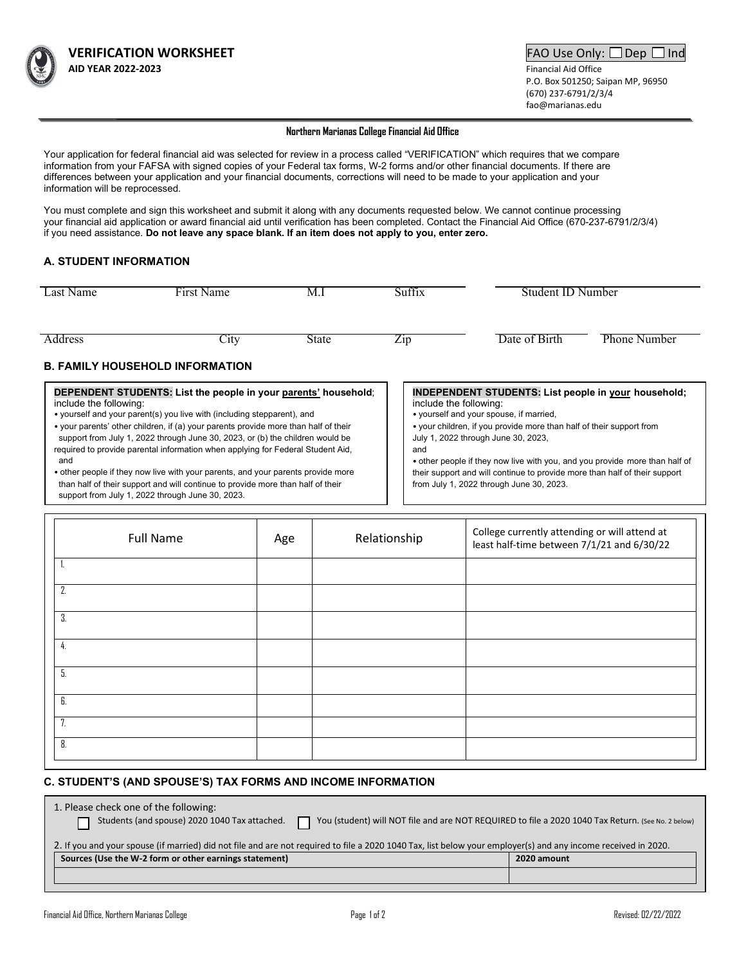

P.O. Box 501250; Saipan MP, 96950 (670) 237-6791/2/3/4 fao@marianas.edu

#### **Northern Marianas College Financial Aid Office**

Your application for federal financial aid was selected for review in a process called "VERIFICATION" which requires that we compare information from your FAFSA with signed copies of your Federal tax forms, W-2 forms and/or other financial documents. If there are differences between your application and your financial documents, corrections will need to be made to your application and your information will be reprocessed.

You must complete and sign this worksheet and submit it along with any documents requested below. We cannot continue processing your financial aid application or award financial aid until verification has been completed. Contact the Financial Aid Office (670-237-6791/2/3/4) if you need assistance. **Do not leave any space blank. If an item does not apply to you, enter zero.**

### **A. STUDENT INFORMATION**

| Last Name                                                                                                                                                                                                                                                                                                                      | First Name | M.I   | Suffix                 | Student ID Number                                                                                                                                                                                                                                                                            |                     |  |
|--------------------------------------------------------------------------------------------------------------------------------------------------------------------------------------------------------------------------------------------------------------------------------------------------------------------------------|------------|-------|------------------------|----------------------------------------------------------------------------------------------------------------------------------------------------------------------------------------------------------------------------------------------------------------------------------------------|---------------------|--|
| Address                                                                                                                                                                                                                                                                                                                        | $C1$ ty    | State | Zip                    | Date of Birth                                                                                                                                                                                                                                                                                | <b>Phone Number</b> |  |
| <b>B. FAMILY HOUSEHOLD INFORMATION</b>                                                                                                                                                                                                                                                                                         |            |       |                        |                                                                                                                                                                                                                                                                                              |                     |  |
| DEPENDENT STUDENTS: List the people in your parents' household;<br>include the following:<br>$\mathbf{r}$ , and the contract of the contract of the contract of the contract of the contract of the contract of the contract of the contract of the contract of the contract of the contract of the contract of the contract o |            |       | include the following: | <b>INDEPENDENT STUDENTS: List people in your household;</b><br>. The contract of the contract of the contract of the contract of the contract of the contract of the contract of the contract of the contract of the contract of the contract of the contract of the contract of the contrac |                     |  |

• yourself and your parent(s) you live with (including stepparent), and

 support from July 1, 2022 through June 30, 2023, or (b) the children would be • your parents' other children, if (a) your parents provide more than half of their required to provide parental information when applying for Federal Student Aid, and

• other people if they now live with your parents, and your parents provide more than half of their support and will continue to provide more than half of their support from July 1, 2022 through June 30, 2023.

- yourself and your spouse, if married,
- your children, if you provide more than half of their support from July 1, 2022 through June 30, 2023,
- and

• other people if they now live with you, and you provide more than half of their support and will continue to provide more than half of their support from July 1, 2022 through June 30, 2023.

| <b>Full Name</b> | Age | Relationship | College currently attending or will attend at<br>least half-time between 7/1/21 and 6/30/22 |
|------------------|-----|--------------|---------------------------------------------------------------------------------------------|
| ъ.               |     |              |                                                                                             |
| 2.               |     |              |                                                                                             |
| 3.               |     |              |                                                                                             |
| 4.               |     |              |                                                                                             |
| 5.               |     |              |                                                                                             |
| 6.               |     |              |                                                                                             |
| 7.               |     |              |                                                                                             |
| 8.               |     |              |                                                                                             |

### **C. STUDENT'S (AND SPOUSE'S) TAX FORMS AND INCOME INFORMATION**

| 1. Please check one of the following:<br>Students (and spouse) 2020 1040 Tax attached.<br>You (student) will NOT file and are NOT REQUIRED to file a 2020 1040 Tax Return. (See No. 2 below) |             |  |  |  |
|----------------------------------------------------------------------------------------------------------------------------------------------------------------------------------------------|-------------|--|--|--|
| 2. If you and your spouse (if married) did not file and are not required to file a 2020 1040 Tax, list below your employer(s) and any income received in 2020.                               |             |  |  |  |
| Sources (Use the W-2 form or other earnings statement)                                                                                                                                       | 2020 amount |  |  |  |
|                                                                                                                                                                                              |             |  |  |  |